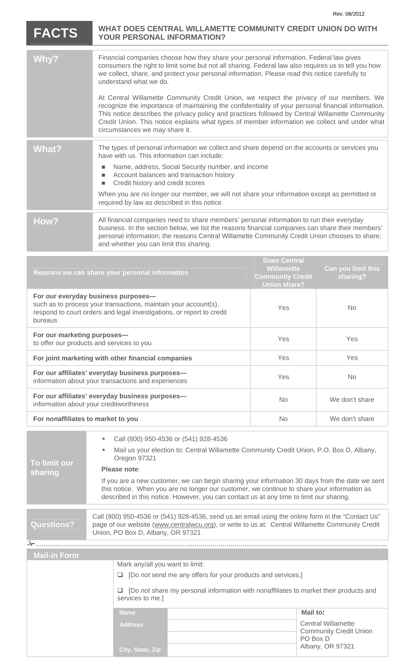## **FACTS WHAT DOES CENTRAL WILLAMETTE COMMUNITY CREDIT UNION DO WITH YOUR PERSONAL INFORMATION? YOUR PERSONAL INFORMATION?**

|       | Financial companies choose how they share your personal information. Federal law gives<br>consumers the right to limit some but not all sharing. Federal law also requires us to tell you how<br>we collect, share, and protect your personal information. Please read this notice carefully to<br>understand what we do.                                                                                                            |
|-------|--------------------------------------------------------------------------------------------------------------------------------------------------------------------------------------------------------------------------------------------------------------------------------------------------------------------------------------------------------------------------------------------------------------------------------------|
|       | At Central Willamette Community Credit Union, we respect the privacy of our members. We<br>recognize the importance of maintaining the confidentiality of your personal financial information.<br>This notice describes the privacy policy and practices followed by Central Willamette Community<br>Credit Union. This notice explains what types of member information we collect and under what<br>circumstances we may share it. |
| What? | The types of personal information we collect and share depend on the accounts or services you<br>have with us. This information can include:                                                                                                                                                                                                                                                                                         |
|       | Name, address, Social Security number, and income<br>Account balances and transaction history<br>Credit history and credit scores                                                                                                                                                                                                                                                                                                    |
|       | When you are no longer our member, we will not share your information except as permitted or<br>required by law as described in this notice.                                                                                                                                                                                                                                                                                         |
| How?  | All financial companies need to share members' personal information to run their everyday<br>business. In the section below, we list the reasons financial companies can share their members'<br>personal information; the reasons Central Willamette Community Credit Union chooses to share;<br>and whether you can limit this sharing.                                                                                            |
|       |                                                                                                                                                                                                                                                                                                                                                                                                                                      |

| Reasons we can share your personal information                                                                                                                                             | <b>Does Central</b><br><b>Willamette</b><br><b>Community Credit</b><br><b>Union share?</b> | Can you limit this<br>sharing? |
|--------------------------------------------------------------------------------------------------------------------------------------------------------------------------------------------|--------------------------------------------------------------------------------------------|--------------------------------|
| For our everyday business purposes-<br>such as to process your transactions, maintain your account(s),<br>respond to court orders and legal investigations, or report to credit<br>bureaus | <b>Yes</b>                                                                                 | No.                            |
| For our marketing purposes-<br>to offer our products and services to you                                                                                                                   | <b>Yes</b>                                                                                 | Yes                            |
| For joint marketing with other financial companies                                                                                                                                         | Yes                                                                                        | <b>Yes</b>                     |
| For our affiliates' everyday business purposes-<br>information about your transactions and experiences                                                                                     | <b>Yes</b>                                                                                 | No.                            |
| For our affiliates' everyday business purposes-<br>information about your creditworthiness                                                                                                 | <b>No</b>                                                                                  | We don't share                 |
| For nonaffiliates to market to you                                                                                                                                                         | <b>No</b>                                                                                  | We don't share                 |

| To limit our<br>sharing | Call (800) 950-4536 or (541) 928-4536                                                                                                                                                                                                                                                   |
|-------------------------|-----------------------------------------------------------------------------------------------------------------------------------------------------------------------------------------------------------------------------------------------------------------------------------------|
|                         | Mail us your election to: Central Willamette Community Credit Union, P.O. Box D, Albany,<br>٠<br>Oregon 97321                                                                                                                                                                           |
|                         | Please note:                                                                                                                                                                                                                                                                            |
|                         | If you are a new customer, we can begin sharing your information 30 days from the date we sent<br>this notice. When you are no longer our customer, we continue to share your information as<br>described in this notice. However, you can contact us at any time to limit our sharing. |
|                         |                                                                                                                                                                                                                                                                                         |
| <b>Questions?</b>       | Call (800) 950-4536 or (541) 928-4536, send us an email using the online form in the "Contact Us"<br>page of our website (www.centralwcu.org), or write to us at: Central Willamette Community Credit<br>Union, PO Box D, Albany, OR 97321                                              |
|                         |                                                                                                                                                                                                                                                                                         |
| <b>Mail-in Form</b>     |                                                                                                                                                                                                                                                                                         |
|                         | Mark any/all you want to limit:                                                                                                                                                                                                                                                         |

| <b>MAILILI</b> VIII |                                                                                                                                                                                    |  |                                                                        |  |
|---------------------|------------------------------------------------------------------------------------------------------------------------------------------------------------------------------------|--|------------------------------------------------------------------------|--|
|                     | Mark any/all you want to limit:                                                                                                                                                    |  |                                                                        |  |
|                     | [Do not send me any offers for your products and services.]<br>ப<br>[Do not share my personal information with nonaffiliates to market their products and<br>⊔<br>services to me.] |  |                                                                        |  |
|                     |                                                                                                                                                                                    |  |                                                                        |  |
|                     | <b>Name</b>                                                                                                                                                                        |  | Mail to:                                                               |  |
|                     | <b>Address</b>                                                                                                                                                                     |  | <b>Central Willamette</b><br><b>Community Credit Union</b><br>PO Box D |  |
|                     | City, State, Zip                                                                                                                                                                   |  | Albany, OR 97321                                                       |  |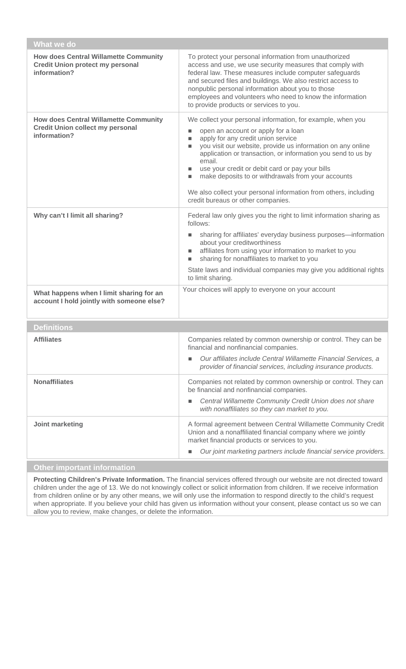| What we do                                                                                              |                                                                                                                                                                                                                                                                                                                                                                                                                                                                                                                                                         |  |  |
|---------------------------------------------------------------------------------------------------------|---------------------------------------------------------------------------------------------------------------------------------------------------------------------------------------------------------------------------------------------------------------------------------------------------------------------------------------------------------------------------------------------------------------------------------------------------------------------------------------------------------------------------------------------------------|--|--|
| <b>How does Central Willamette Community</b><br><b>Credit Union protect my personal</b><br>information? | To protect your personal information from unauthorized<br>access and use, we use security measures that comply with<br>federal law. These measures include computer safeguards<br>and secured files and buildings. We also restrict access to<br>nonpublic personal information about you to those<br>employees and volunteers who need to know the information<br>to provide products or services to you.                                                                                                                                              |  |  |
| <b>How does Central Willamette Community</b><br><b>Credit Union collect my personal</b><br>information? | We collect your personal information, for example, when you<br>open an account or apply for a loan<br>$\blacksquare$<br>apply for any credit union service<br>п<br>you visit our website, provide us information on any online<br>$\blacksquare$<br>application or transaction, or information you send to us by<br>email.<br>use your credit or debit card or pay your bills<br>ш<br>make deposits to or withdrawals from your accounts<br>ш<br>We also collect your personal information from others, including<br>credit bureaus or other companies. |  |  |
| Why can't I limit all sharing?                                                                          | Federal law only gives you the right to limit information sharing as<br>follows:<br>sharing for affiliates' everyday business purposes-information<br>L.<br>about your creditworthiness<br>affiliates from using your information to market to you<br>ш<br>sharing for nonaffiliates to market to you<br>u,<br>State laws and individual companies may give you additional rights<br>to limit sharing.<br>Your choices will apply to everyone on your account                                                                                           |  |  |
| What happens when I limit sharing for an<br>account I hold jointly with someone else?                   |                                                                                                                                                                                                                                                                                                                                                                                                                                                                                                                                                         |  |  |
| <b>Definitions</b>                                                                                      |                                                                                                                                                                                                                                                                                                                                                                                                                                                                                                                                                         |  |  |
| <b>Affiliates</b>                                                                                       | Companies related by common ownership or control. They can be<br>financial and nonfinancial companies.<br>Our affiliates include Central Willamette Financial Services, a<br>п<br>provider of financial services, including insurance products.                                                                                                                                                                                                                                                                                                         |  |  |
| <b>Nonaffiliates</b>                                                                                    | Companies not related by common ownership or control. They can<br>be financial and nonfinancial companies.<br>Central Willamette Community Credit Union does not share<br>$\blacksquare$<br>with nonaffiliates so they can market to you.                                                                                                                                                                                                                                                                                                               |  |  |
| Joint marketing                                                                                         | A formal agreement between Central Willamette Community Credit<br>Union and a nonaffiliated financial company where we jointly<br>market financial products or services to you.<br>Our joint marketing partners include financial service providers.                                                                                                                                                                                                                                                                                                    |  |  |
| Other important information                                                                             |                                                                                                                                                                                                                                                                                                                                                                                                                                                                                                                                                         |  |  |

**Protecting Children's Private Information.** The financial services offered through our website are not directed toward children under the age of 13. We do not knowingly collect or solicit information from children. If we receive information from children online or by any other means, we will only use the information to respond directly to the child's request when appropriate. If you believe your child has given us information without your consent, please contact us so we can allow you to review, make changes, or delete the information.